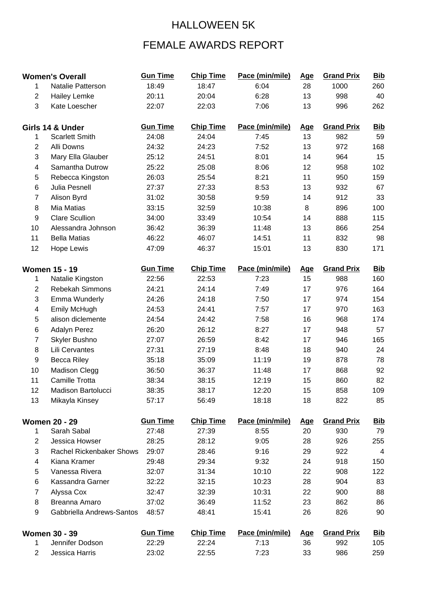## HALLOWEEN 5K

## FEMALE AWARDS REPORT

| <b>Women's Overall</b>  |                           | <b>Gun Time</b> | <b>Chip Time</b> | Pace (min/mile) | <u>Age</u> | <b>Grand Prix</b> | <b>Bib</b> |
|-------------------------|---------------------------|-----------------|------------------|-----------------|------------|-------------------|------------|
| 1                       | Natalie Patterson         | 18:49           | 18:47            | 6:04            | 28         | 1000              | 260        |
| $\overline{2}$          | <b>Hailey Lemke</b>       | 20:11           | 20:04            | 6:28            | 13         | 998               | 40         |
| 3                       | Kate Loescher             | 22:07           | 22:03            | 7:06            | 13         | 996               | 262        |
| Girls 14 & Under        |                           | <b>Gun Time</b> | <b>Chip Time</b> | Pace (min/mile) | <u>Age</u> | <b>Grand Prix</b> | <u>Bib</u> |
| 1                       | <b>Scarlett Smith</b>     | 24:08           | 24:04            | 7:45            | 13         | 982               | 59         |
| $\overline{2}$          | Alli Downs                | 24:32           | 24:23            | 7:52            | 13         | 972               | 168        |
| 3                       | Mary Ella Glauber         | 25:12           | 24:51            | 8:01            | 14         | 964               | 15         |
| $\overline{\mathbf{4}}$ | Samantha Dutrow           | 25:22           | 25:08            | 8:06            | 12         | 958               | 102        |
| 5                       | Rebecca Kingston          | 26:03           | 25:54            | 8:21            | 11         | 950               | 159        |
| 6                       | Julia Pesnell             | 27:37           | 27:33            | 8:53            | 13         | 932               | 67         |
| $\overline{7}$          | Alison Byrd               | 31:02           | 30:58            | 9:59            | 14         | 912               | 33         |
| 8                       | Mia Matias                | 33:15           | 32:59            | 10:38           | 8          | 896               | 100        |
| $\boldsymbol{9}$        | <b>Clare Scullion</b>     | 34:00           | 33:49            | 10:54           | 14         | 888               | 115        |
| 10                      | Alessandra Johnson        | 36:42           | 36:39            | 11:48           | 13         | 866               | 254        |
| 11                      | <b>Bella Matias</b>       | 46:22           | 46:07            | 14:51           | 11         | 832               | 98         |
| 12                      | Hope Lewis                | 47:09           | 46:37            | 15:01           | 13         | 830               | 171        |
|                         | <b>Women 15 - 19</b>      | <b>Gun Time</b> | <b>Chip Time</b> | Pace (min/mile) | <u>Age</u> | <b>Grand Prix</b> | <b>Bib</b> |
| 1                       | Natalie Kingston          | 22:56           | 22:53            | 7:23            | 15         | 988               | 160        |
| $\overline{2}$          | Rebekah Simmons           | 24:21           | 24:14            | 7:49            | 17         | 976               | 164        |
| 3                       | <b>Emma Wunderly</b>      | 24:26           | 24:18            | 7:50            | 17         | 974               | 154        |
| $\overline{4}$          | <b>Emily McHugh</b>       | 24:53           | 24:41            | 7:57            | 17         | 970               | 163        |
| 5                       | alison diclemente         | 24:54           | 24:42            | 7:58            | 16         | 968               | 174        |
| 6                       | <b>Adalyn Perez</b>       | 26:20           | 26:12            | 8:27            | 17         | 948               | 57         |
| $\overline{7}$          | Skyler Bushno             | 27:07           | 26:59            | 8:42            | 17         | 946               | 165        |
| 8                       | Lili Cervantes            | 27:31           | 27:19            | 8:48            | 18         | 940               | 24         |
| 9                       | <b>Becca Riley</b>        | 35:18           | 35:09            | 11:19           | 19         | 878               | 78         |
| 10                      | <b>Madison Clegg</b>      | 36:50           | 36:37            | 11:48           | 17         | 868               | 92         |
| 11                      | <b>Camille Trotta</b>     | 38:34           | 38:15            | 12:19           | 15         | 860               | 82         |
| 12                      | Madison Bartolucci        | 38:35           | 38:17            | 12:20           | 15         | 858               | 109        |
| 13                      | Mikayla Kinsey            | 57:17           | 56:49            | 18:18           | 18         | 822               | 85         |
|                         | <b>Women 20 - 29</b>      | <b>Gun Time</b> | <b>Chip Time</b> | Pace (min/mile) | <u>Age</u> | <b>Grand Prix</b> | <u>Bib</u> |
| 1                       | Sarah Sabal               | 27:48           | 27:39            | 8:55            | 20         | 930               | 79         |
| $\overline{2}$          | Jessica Howser            | 28:25           | 28:12            | 9:05            | 28         | 926               | 255        |
| 3                       | Rachel Rickenbaker Shows  | 29:07           | 28:46            | 9:16            | 29         | 922               | 4          |
| 4                       | Kiana Kramer              | 29:48           | 29:34            | 9:32            | 24         | 918               | 150        |
| $\mathbf 5$             | Vanessa Rivera            | 32:07           | 31:34            | 10:10           | 22         | 908               | 122        |
| 6                       | Kassandra Garner          | 32:22           | 32:15            | 10:23           | 28         | 904               | 83         |
| $\overline{7}$          | Alyssa Cox                | 32:47           | 32:39            | 10:31           | 22         | 900               | 88         |
| 8                       | Breanna Amaro             | 37:02           | 36:49            | 11:52           | 23         | 862               | 86         |
| 9                       | Gabbriella Andrews-Santos | 48:57           | 48:41            | 15:41           | 26         | 826               | 90         |
|                         | <b>Women 30 - 39</b>      | <b>Gun Time</b> | <b>Chip Time</b> | Pace (min/mile) | <u>Age</u> | <b>Grand Prix</b> | <u>Bib</u> |
| 1                       | Jennifer Dodson           | 22:29           | 22:24            | 7:13            | 36         | 992               | 105        |
| $\overline{2}$          | Jessica Harris            | 23:02           | 22:55            | 7:23            | 33         | 986               | 259        |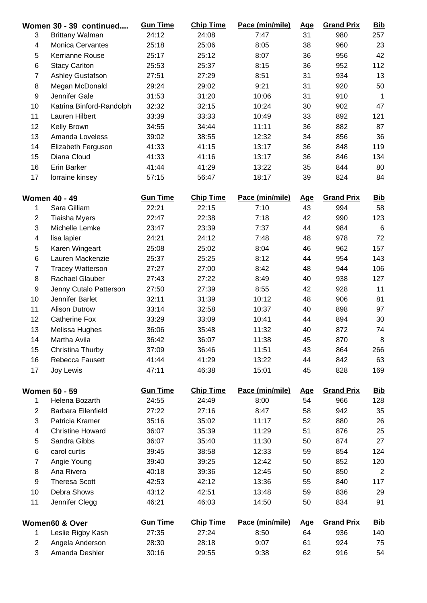|                         | Women 30 - 39 continued             | <b>Gun Time</b> | <b>Chip Time</b> | Pace (min/mile) | <u>Age</u>       | <b>Grand Prix</b> | <b>Bib</b>     |
|-------------------------|-------------------------------------|-----------------|------------------|-----------------|------------------|-------------------|----------------|
| 3                       | <b>Brittany Walman</b>              | 24:12           | 24:08            | 7:47            | 31               | 980               | 257            |
| $\overline{\mathbf{4}}$ | <b>Monica Cervantes</b>             | 25:18           | 25:06            | 8:05            | 38               | 960               | 23             |
| 5                       | Kerrianne Rouse                     | 25:17           | 25:12            | 8:07            | 36               | 956               | 42             |
| 6                       | <b>Stacy Carlton</b>                | 25:53           | 25:37            | 8:15            | 36               | 952               | 112            |
| $\overline{7}$          | Ashley Gustafson                    | 27:51           | 27:29            | 8:51            | 31               | 934               | 13             |
| $\bf 8$                 | Megan McDonald                      | 29:24           | 29:02            | 9:21            | 31               | 920               | 50             |
| $\boldsymbol{9}$        | Jennifer Gale                       | 31:53           | 31:20            | 10:06           | 31               | 910               | $\mathbf{1}$   |
| 10                      | Katrina Binford-Randolph            | 32:32           | 32:15            | 10:24           | 30               | 902               | 47             |
| 11                      | Lauren Hilbert                      | 33:39           | 33:33            | 10:49           | 33               | 892               | 121            |
| 12                      | Kelly Brown                         | 34:55           | 34:44            | 11:11           | 36               | 882               | 87             |
| 13                      | Amanda Loveless                     | 39:02           | 38:55            | 12:32           | 34               | 856               | 36             |
| 14                      | Elizabeth Ferguson                  | 41:33           | 41:15            | 13:17           | 36               | 848               | 119            |
| 15                      | Diana Cloud                         | 41:33           | 41:16            | 13:17           | 36               | 846               | 134            |
| 16                      | <b>Erin Barker</b>                  | 41:44           | 41:29            | 13:22           | 35               | 844               | 80             |
| 17                      | lorraine kinsey                     | 57:15           | 56:47            | 18:17           | 39               | 824               | 84             |
|                         | <b>Women 40 - 49</b>                | <b>Gun Time</b> | <b>Chip Time</b> | Pace (min/mile) | <u>Age</u>       | <b>Grand Prix</b> | <b>Bib</b>     |
| $\mathbf{1}$            | Sara Gilliam                        | 22:21           | 22:15            | 7:10            | 43               | 994               | 58             |
| $\overline{c}$          | <b>Tiaisha Myers</b>                | 22:47           | 22:38            | 7:18            | 42               | 990               | 123            |
| 3                       | Michelle Lemke                      | 23:47           | 23:39            | 7:37            | 44               | 984               | $\,6$          |
| $\overline{\mathbf{4}}$ | lisa lapier                         | 24:21           | 24:12            | 7:48            | 48               | 978               | 72             |
| 5                       | Karen Wingeart                      | 25:08           | 25:02            | 8:04            | 46               | 962               | 157            |
| 6                       | Lauren Mackenzie                    | 25:37           | 25:25            | 8:12            | 44               | 954               | 143            |
| $\overline{7}$          | <b>Tracey Watterson</b>             | 27:27           | 27:00            | 8:42            | 48               | 944               | 106            |
| 8                       | Rachael Glauber                     | 27:43           | 27:22            | 8:49            | 40               | 938               | 127            |
| $\boldsymbol{9}$        | Jenny Cutalo Patterson              | 27:50           | 27:39            | 8:55            | 42               | 928               | 11             |
| 10                      | Jennifer Barlet                     | 32:11           | 31:39            | 10:12           | 48               | 906               | 81             |
| 11                      | <b>Alison Dutrow</b>                | 33:14           | 32:58            | 10:37           | 40               | 898               | 97             |
| 12                      | <b>Catherine Fox</b>                | 33:29           | 33:09            | 10:41           | 44               | 894               | 30             |
| 13                      | Melissa Hughes                      | 36:06           | 35:48            | 11:32           | 40               | 872               | 74             |
| 14                      | Martha Avila                        | 36:42           | 36:07            | 11:38           | 45               | 870               | 8              |
| 15                      | Christina Thurby                    | 37:09           | 36:46            | 11:51           | 43               | 864               | 266            |
| 16                      | Rebecca Fausett                     | 41:44           | 41:29            | 13:22           | 44               | 842               | 63             |
| 17                      | Joy Lewis                           | 47:11           | 46:38            | 15:01           | 45               | 828               | 169            |
|                         | <b>Women 50 - 59</b>                | <b>Gun Time</b> | <b>Chip Time</b> | Pace (min/mile) | <u>Age</u>       | <b>Grand Prix</b> | <u>Bib</u>     |
| $\mathbf{1}$            | Helena Bozarth                      | 24:55           | 24:49            | 8:00            | 54               | 966               | 128            |
| $\overline{2}$          | Barbara Eilenfield                  | 27:22           | 27:16            | 8:47            | 58               | 942               | 35             |
| 3                       | Patricia Kramer                     | 35:16           | 35:02            | 11:17           | 52               | 880               | 26             |
| 4                       | <b>Christine Howard</b>             | 36:07           | 35:39            | 11:29           | 51               | 876               | 25             |
| 5                       | Sandra Gibbs                        | 36:07           | 35:40            | 11:30           | 50               | 874               | 27             |
| 6                       | carol curtis                        | 39:45           | 38:58            | 12:33           | 59               | 854               | 124            |
| $\overline{7}$          | Angie Young                         | 39:40           | 39:25            | 12:42           | 50               | 852               | 120            |
| 8                       | Ana Rivera                          | 40:18           | 39:36            | 12:45           | 50               | 850               | $\overline{2}$ |
| 9                       | <b>Theresa Scott</b>                |                 |                  | 13:36           |                  | 840               | 117            |
|                         |                                     | 42:53           | 42:12            |                 | 55               |                   |                |
| 10<br>11                | Debra Shows<br>Jennifer Clegg       | 43:12<br>46:21  | 42:51<br>46:03   | 13:48<br>14:50  | 59<br>50         | 836<br>834        | 29<br>91       |
|                         |                                     | <b>Gun Time</b> | <b>Chip Time</b> | Pace (min/mile) |                  | <b>Grand Prix</b> | <b>Bib</b>     |
| 1                       | Women60 & Over<br>Leslie Rigby Kash | 27:35           | 27:24            | 8:50            | <u>Age</u><br>64 | 936               | 140            |
| $\overline{2}$          | Angela Anderson                     | 28:30           | 28:18            | 9:07            | 61               | 924               | 75             |
| 3                       | Amanda Deshler                      | 30:16           | 29:55            | 9:38            | 62               | 916               | 54             |
|                         |                                     |                 |                  |                 |                  |                   |                |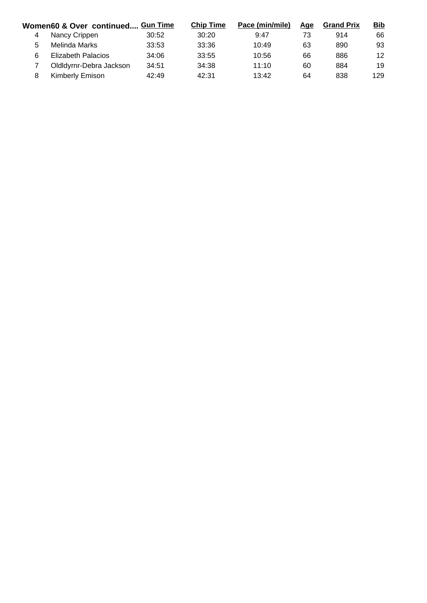| Women60 & Over continued Gun Time |                           | <b>Chip Time</b> | Pace (min/mile) | <u>Age</u> | <b>Grand Prix</b> | <b>Bib</b> |     |
|-----------------------------------|---------------------------|------------------|-----------------|------------|-------------------|------------|-----|
| 4                                 | Nancy Crippen             | 30:52            | 30:20           | 9:47       | 73                | 914        | 66  |
| 5                                 | Melinda Marks             | 33:53            | 33:36           | 10:49      | 63                | 890        | 93  |
| 6                                 | <b>Elizabeth Palacios</b> | 34:06            | 33:55           | 10:56      | 66                | 886        | 12  |
|                                   | Oldldyrnr-Debra Jackson   | 34:51            | 34:38           | 11:10      | 60                | 884        | 19  |
|                                   | Kimberly Emison           | 42:49            | 42:31           | 13:42      | 64                | 838        | 129 |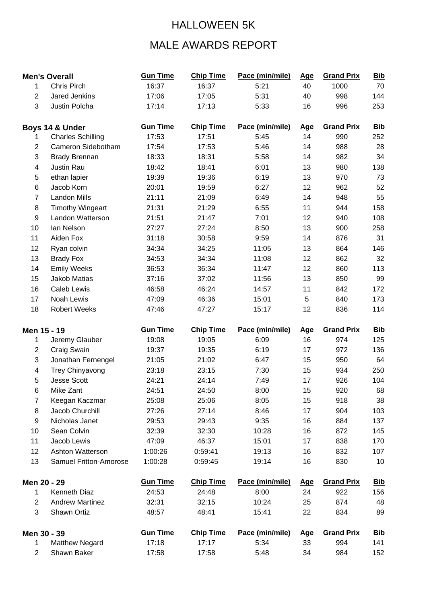## HALLOWEEN 5K

## MALE AWARDS REPORT

|                         | <b>Men's Overall</b>     | <b>Gun Time</b> | <b>Chip Time</b> | Pace (min/mile) | <u>Age</u> | <b>Grand Prix</b> | <b>Bib</b> |
|-------------------------|--------------------------|-----------------|------------------|-----------------|------------|-------------------|------------|
| 1                       | Chris Pirch              | 16:37           | 16:37            | 5:21            | 40         | 1000              | 70         |
| $\overline{2}$          | Jared Jenkins            | 17:06           | 17:05            | 5:31            | 40         | 998               | 144        |
| 3                       | Justin Polcha            | 17:14           | 17:13            | 5:33            | 16         | 996               | 253        |
|                         | Boys 14 & Under          | <b>Gun Time</b> | <b>Chip Time</b> | Pace (min/mile) | <b>Age</b> | <b>Grand Prix</b> | <b>Bib</b> |
|                         | <b>Charles Schilling</b> | 17:53           | 17:51            | 5:45            | 14         | 990               | 252        |
| $\overline{2}$          | Cameron Sidebotham       | 17:54           | 17:53            | 5:46            | 14         | 988               | 28         |
| 3                       | <b>Brady Brennan</b>     | 18:33           | 18:31            | 5:58            | 14         | 982               | 34         |
| 4                       | Justin Rau               | 18:42           | 18:41            | 6:01            | 13         | 980               | 138        |
| 5                       | ethan lapier             | 19:39           | 19:36            | 6:19            | 13         | 970               | 73         |
| 6                       | Jacob Korn               | 20:01           | 19:59            | 6:27            | 12         | 962               | 52         |
| $\overline{7}$          | <b>Landon Mills</b>      | 21:11           | 21:09            | 6:49            | 14         | 948               | 55         |
| 8                       | <b>Timothy Wingeart</b>  | 21:31           | 21:29            | 6:55            | 11         | 944               | 158        |
| 9                       | Landon Watterson         | 21:51           | 21:47            | 7:01            | 12         | 940               | 108        |
| 10                      | Ian Nelson               | 27:27           | 27:24            | 8:50            | 13         | 900               | 258        |
| 11                      | Aiden Fox                | 31:18           | 30:58            | 9:59            | 14         | 876               | 31         |
| 12                      | Ryan colvin              | 34:34           | 34:25            | 11:05           | 13         | 864               | 146        |
| 13                      | <b>Brady Fox</b>         | 34:53           | 34:34            | 11:08           | 12         | 862               | 32         |
| 14                      | <b>Emily Weeks</b>       | 36:53           | 36:34            | 11:47           | 12         | 860               | 113        |
| 15                      | Jakob Matias             | 37:16           | 37:02            | 11:56           | 13         | 850               | 99         |
| 16                      | <b>Caleb Lewis</b>       | 46:58           | 46:24            | 14:57           | 11         | 842               | 172        |
| 17                      | Noah Lewis               | 47:09           | 46:36            | 15:01           | 5          | 840               | 173        |
| 18                      | <b>Robert Weeks</b>      | 47:46           | 47:27            | 15:17           | 12         | 836               | 114        |
| Men 15 - 19             |                          | <b>Gun Time</b> | <b>Chip Time</b> | Pace (min/mile) | <u>Age</u> | <b>Grand Prix</b> | <b>Bib</b> |
| 1                       | Jeremy Glauber           | 19:08           | 19:05            | 6:09            | 16         | 974               | 125        |
| $\overline{\mathbf{c}}$ | Craig Swain              | 19:37           | 19:35            | 6:19            | 17         | 972               | 136        |
| 3                       | Jonathan Fernengel       | 21:05           | 21:02            | 6:47            | 15         | 950               | 64         |
| $\overline{\mathbf{4}}$ | <b>Trey Chinyavong</b>   | 23:18           | 23:15            | 7:30            | 15         | 934               | 250        |
| 5                       | <b>Jesse Scott</b>       | 24:21           | 24:14            | 7:49            | 17         | 926               | 104        |
| 6                       | Mike Zant                | 24:51           | 24:50            | 8:00            | 15         | 920               | 68         |
| $\overline{7}$          | Keegan Kaczmar           | 25:08           | 25:06            | 8:05            | 15         | 918               | 38         |
| 8                       | Jacob Churchill          | 27:26           | 27:14            | 8:46            | 17         | 904               | 103        |
| 9                       | Nicholas Janet           | 29:53           | 29:43            | 9:35            | 16         | 884               | 137        |
| 10                      | Sean Colvin              | 32:39           | 32:30            | 10:28           | 16         | 872               | 145        |
| 11                      | Jacob Lewis              | 47:09           | 46:37            | 15:01           | 17         | 838               | 170        |
| 12                      | Ashton Watterson         | 1:00:26         | 0:59:41          | 19:13           | 16         | 832               | 107        |
| 13                      | Samuel Fritton-Amorose   | 1:00:28         | 0:59:45          | 19:14           | 16         | 830               | 10         |
| Men 20 - 29             |                          | <b>Gun Time</b> | <b>Chip Time</b> | Pace (min/mile) | <u>Age</u> | <b>Grand Prix</b> | <b>Bib</b> |
| 1                       | Kenneth Diaz             | 24:53           | 24:48            | 8:00            | 24         | 922               | 156        |
| 2                       | <b>Andrew Martinez</b>   | 32:31           | 32:15            | 10:24           | 25         | 874               | 48         |
| 3                       | Shawn Ortiz              | 48:57           | 48:41            | 15:41           | 22         | 834               | 89         |
| Men 30 - 39             |                          | <b>Gun Time</b> | <b>Chip Time</b> | Pace (min/mile) | <u>Age</u> | <b>Grand Prix</b> | <u>Bib</u> |
| 1                       | <b>Matthew Negard</b>    | 17:18           | 17:17            | 5:34            | 33         | 994               | 141        |
| $\overline{2}$          | Shawn Baker              | 17:58           | 17:58            | 5:48            | 34         | 984               | 152        |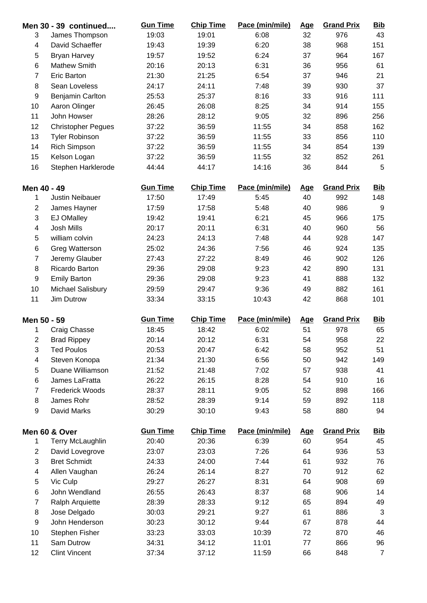|                          | Men 30 - 39 continued     | <b>Gun Time</b> | <b>Chip Time</b> | Pace (min/mile) | <b>Age</b> | <b>Grand Prix</b> | <b>Bib</b>       |
|--------------------------|---------------------------|-----------------|------------------|-----------------|------------|-------------------|------------------|
| 3                        | James Thompson            | 19:03           | 19:01            | 6:08            | 32         | 976               | 43               |
| $\overline{\mathcal{A}}$ | David Schaeffer           | 19:43           | 19:39            | 6:20            | 38         | 968               | 151              |
| 5                        | <b>Bryan Harvey</b>       | 19:57           | 19:52            | 6:24            | 37         | 964               | 167              |
| 6                        | <b>Mathew Smith</b>       | 20:16           | 20:13            | 6:31            | 36         | 956               | 61               |
| 7                        | <b>Eric Barton</b>        | 21:30           | 21:25            | 6:54            | 37         | 946               | 21               |
| 8                        | Sean Loveless             | 24:17           | 24:11            | 7:48            | 39         | 930               | 37               |
| 9                        | <b>Benjamin Carlton</b>   | 25:53           | 25:37            | 8:16            | 33         | 916               | 111              |
| 10                       | Aaron Olinger             | 26:45           | 26:08            | 8:25            | 34         | 914               | 155              |
| 11                       | John Howser               | 28:26           | 28:12            | 9:05            | 32         | 896               | 256              |
| 12                       | <b>Christopher Pegues</b> | 37:22           | 36:59            | 11:55           | 34         | 858               | 162              |
| 13                       | <b>Tyler Robinson</b>     | 37:22           | 36:59            | 11:55           | 33         | 856               | 110              |
| 14                       | <b>Rich Simpson</b>       | 37:22           | 36:59            | 11:55           | 34         | 854               | 139              |
| 15                       | Kelson Logan              | 37:22           | 36:59            | 11:55           | 32         | 852               | 261              |
| 16                       | Stephen Harklerode        | 44:44           | 44:17            | 14:16           | 36         | 844               | 5                |
| Men 40 - 49              |                           | <b>Gun Time</b> | <b>Chip Time</b> | Pace (min/mile) | <u>Age</u> | <b>Grand Prix</b> | <b>Bib</b>       |
| 1                        | <b>Justin Neibauer</b>    | 17:50           | 17:49            | 5:45            | 40         | 992               | 148              |
| $\boldsymbol{2}$         | James Hayner              | 17:59           | 17:58            | 5:48            | 40         | 986               | $\boldsymbol{9}$ |
| 3                        | <b>EJ OMalley</b>         | 19:42           | 19:41            | 6:21            | 45         | 966               | 175              |
| $\overline{\mathcal{A}}$ | Josh Mills                | 20:17           | 20:11            | 6:31            | 40         | 960               | 56               |
| 5                        | william colvin            | 24:23           | 24:13            | 7:48            | 44         | 928               | 147              |
| 6                        | Greg Watterson            | 25:02           | 24:36            | 7:56            | 46         | 924               | 135              |
| $\overline{7}$           | Jeremy Glauber            | 27:43           | 27:22            | 8:49            | 46         | 902               | 126              |
| 8                        | Ricardo Barton            | 29:36           | 29:08            | 9:23            | 42         | 890               | 131              |
| 9                        | <b>Emily Barton</b>       | 29:36           | 29:08            | 9:23            | 41         | 888               | 132              |
| 10                       | Michael Salisbury         | 29:59           | 29:47            | 9:36            | 49         | 882               | 161              |
| 11                       | Jim Dutrow                | 33:34           | 33:15            | 10:43           | 42         | 868               | 101              |
| Men 50 - 59              |                           | <b>Gun Time</b> | <b>Chip Time</b> | Pace (min/mile) | <b>Age</b> | <b>Grand Prix</b> | <u>Bib</u>       |
| 1                        | Craig Chasse              | 18:45           | 18:42            | 6:02            | 51         | 978               | 65               |
| $\overline{2}$           | <b>Brad Rippey</b>        | 20:14           | 20:12            | 6:31            | 54         | 958               | 22               |
| 3                        | <b>Ted Poulos</b>         | 20:53           | 20:47            | 6:42            | 58         | 952               | 51               |
| $\overline{\mathbf{4}}$  | Steven Konopa             | 21:34           | 21:30            | 6:56            | 50         | 942               | 149              |
| 5                        | Duane Williamson          | 21:52           | 21:48            | 7:02            | 57         | 938               | 41               |
| 6                        | James LaFratta            | 26:22           | 26:15            | 8:28            | 54         | 910               | 16               |
| $\overline{7}$           | <b>Frederick Woods</b>    | 28:37           | 28:11            | 9:05            | 52         | 898               | 166              |
| 8                        | James Rohr                | 28:52           | 28:39            | 9:14            | 59         | 892               | 118              |
| 9                        | David Marks               | 30:29           | 30:10            | 9:43            | 58         | 880               | 94               |
|                          | Men 60 & Over             | <b>Gun Time</b> | <b>Chip Time</b> | Pace (min/mile) | <u>Age</u> | <b>Grand Prix</b> | <u>Bib</u>       |
| 1                        | Terry McLaughlin          | 20:40           | 20:36            | 6:39            | 60         | 954               | 45               |
| $\overline{2}$           | David Lovegrove           | 23:07           | 23:03            | 7:26            | 64         | 936               | 53               |
| 3                        | <b>Bret Schmidt</b>       | 24:33           | 24:00            | 7:44            | 61         | 932               | 76               |
| $\overline{\mathbf{4}}$  | Allen Vaughan             | 26:24           | 26:14            | 8:27            | 70         | 912               | 62               |
| 5                        | Vic Culp                  | 29:27           | 26:27            | 8:31            | 64         | 908               | 69               |
| 6                        | John Wendland             | 26:55           | 26:43            | 8:37            | 68         | 906               | 14               |
| $\overline{7}$           | <b>Ralph Arquiette</b>    | 28:39           | 28:33            | 9:12            | 65         | 894               | 49               |
| 8                        | Jose Delgado              | 30:03           | 29:21            | 9:27            | 61         | 886               | $\mathbf{3}$     |
| 9                        | John Henderson            | 30:23           | 30:12            | 9:44            | 67         | 878               | 44               |
| 10                       | Stephen Fisher            | 33:23           | 33:03            | 10:39           | 72         | 870               | 46               |
| 11                       | Sam Dutrow                | 34:31           | 34:12            | 11:01           | 77         | 866               | 96               |
| 12                       | <b>Clint Vincent</b>      | 37:34           | 37:12            | 11:59           | 66         | 848               | $\overline{7}$   |